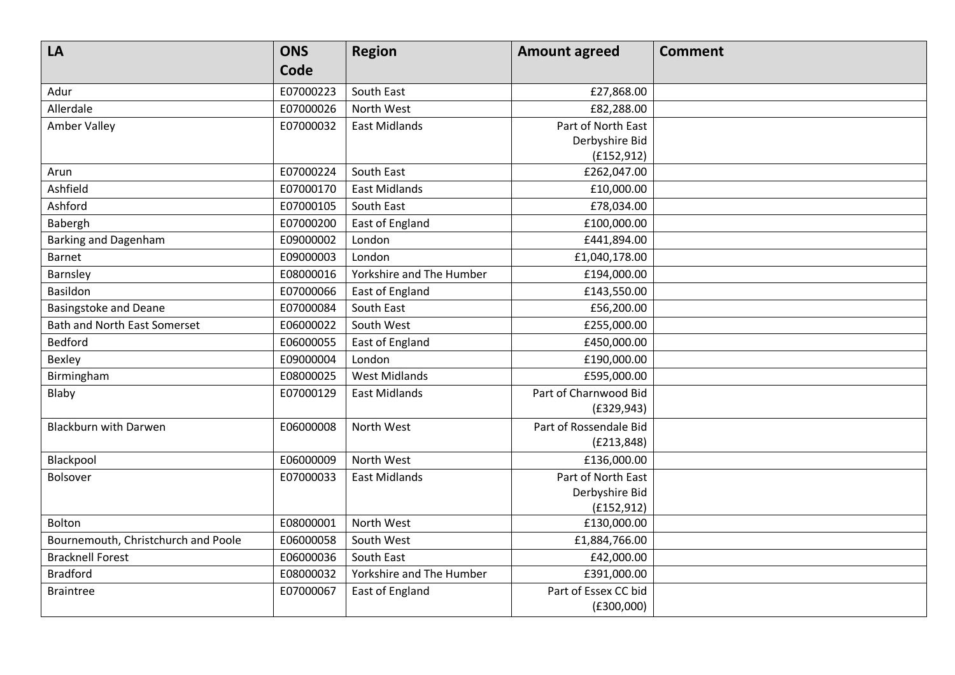| LA                                  | <b>ONS</b> | <b>Region</b>            | <b>Amount agreed</b>   | <b>Comment</b> |
|-------------------------------------|------------|--------------------------|------------------------|----------------|
|                                     | Code       |                          |                        |                |
| Adur                                | E07000223  | South East               | £27,868.00             |                |
| Allerdale                           | E07000026  | North West               | £82,288.00             |                |
| <b>Amber Valley</b>                 | E07000032  | <b>East Midlands</b>     | Part of North East     |                |
|                                     |            |                          | Derbyshire Bid         |                |
|                                     |            |                          | (f152, 912)            |                |
| Arun                                | E07000224  | South East               | £262,047.00            |                |
| Ashfield                            | E07000170  | <b>East Midlands</b>     | £10,000.00             |                |
| Ashford                             | E07000105  | South East               | £78,034.00             |                |
| Babergh                             | E07000200  | East of England          | £100,000.00            |                |
| <b>Barking and Dagenham</b>         | E09000002  | London                   | £441,894.00            |                |
| <b>Barnet</b>                       | E09000003  | London                   | £1,040,178.00          |                |
| Barnsley                            | E08000016  | Yorkshire and The Humber | £194,000.00            |                |
| Basildon                            | E07000066  | East of England          | £143,550.00            |                |
| <b>Basingstoke and Deane</b>        | E07000084  | South East               | £56,200.00             |                |
| <b>Bath and North East Somerset</b> | E06000022  | South West               | £255,000.00            |                |
| <b>Bedford</b>                      | E06000055  | East of England          | £450,000.00            |                |
| Bexley                              | E09000004  | London                   | £190,000.00            |                |
| Birmingham                          | E08000025  | <b>West Midlands</b>     | £595,000.00            |                |
| Blaby                               | E07000129  | <b>East Midlands</b>     | Part of Charnwood Bid  |                |
|                                     |            |                          | (E329, 943)            |                |
| <b>Blackburn with Darwen</b>        | E06000008  | North West               | Part of Rossendale Bid |                |
|                                     |            |                          | (E213, 848)            |                |
| Blackpool                           | E06000009  | North West               | £136,000.00            |                |
| Bolsover                            | E07000033  | <b>East Midlands</b>     | Part of North East     |                |
|                                     |            |                          | Derbyshire Bid         |                |
|                                     |            |                          | (E152, 912)            |                |
| Bolton                              | E08000001  | North West               | £130,000.00            |                |
| Bournemouth, Christchurch and Poole | E06000058  | South West               | £1,884,766.00          |                |
| <b>Bracknell Forest</b>             | E06000036  | South East               | £42,000.00             |                |
| <b>Bradford</b>                     | E08000032  | Yorkshire and The Humber | £391,000.00            |                |
| <b>Braintree</b>                    | E07000067  | East of England          | Part of Essex CC bid   |                |
|                                     |            |                          | (E300,000)             |                |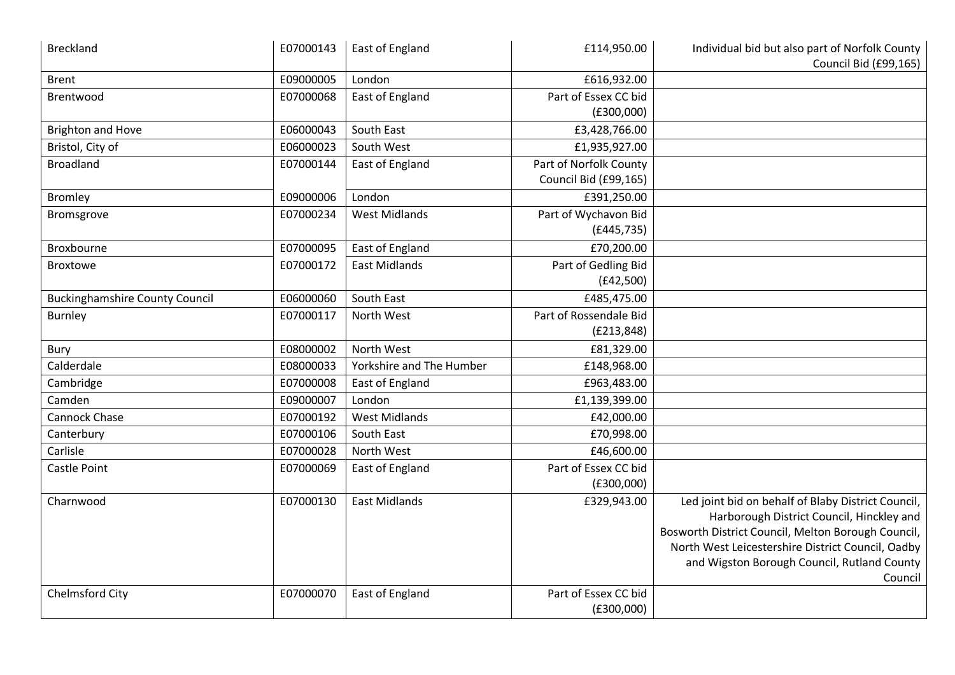| <b>Breckland</b>                      | E07000143 | East of England          | £114,950.00            | Individual bid but also part of Norfolk County<br>Council Bid (£99,165)                                                                                                                                                                                              |
|---------------------------------------|-----------|--------------------------|------------------------|----------------------------------------------------------------------------------------------------------------------------------------------------------------------------------------------------------------------------------------------------------------------|
| <b>Brent</b>                          | E09000005 | London                   | £616,932.00            |                                                                                                                                                                                                                                                                      |
| Brentwood                             | E07000068 | East of England          | Part of Essex CC bid   |                                                                                                                                                                                                                                                                      |
|                                       |           |                          | (E300,000)             |                                                                                                                                                                                                                                                                      |
| <b>Brighton and Hove</b>              | E06000043 | South East               | £3,428,766.00          |                                                                                                                                                                                                                                                                      |
| Bristol, City of                      | E06000023 | South West               | £1,935,927.00          |                                                                                                                                                                                                                                                                      |
| <b>Broadland</b>                      | E07000144 | East of England          | Part of Norfolk County |                                                                                                                                                                                                                                                                      |
|                                       |           |                          | Council Bid (£99,165)  |                                                                                                                                                                                                                                                                      |
| <b>Bromley</b>                        | E09000006 | London                   | £391,250.00            |                                                                                                                                                                                                                                                                      |
| Bromsgrove                            | E07000234 | <b>West Midlands</b>     | Part of Wychavon Bid   |                                                                                                                                                                                                                                                                      |
|                                       |           |                          | (E445, 735)            |                                                                                                                                                                                                                                                                      |
| Broxbourne                            | E07000095 | East of England          | £70,200.00             |                                                                                                                                                                                                                                                                      |
| <b>Broxtowe</b>                       | E07000172 | <b>East Midlands</b>     | Part of Gedling Bid    |                                                                                                                                                                                                                                                                      |
|                                       |           |                          | (E42,500)              |                                                                                                                                                                                                                                                                      |
| <b>Buckinghamshire County Council</b> | E06000060 | South East               | £485,475.00            |                                                                                                                                                                                                                                                                      |
| <b>Burnley</b>                        | E07000117 | North West               | Part of Rossendale Bid |                                                                                                                                                                                                                                                                      |
|                                       |           |                          | (E213, 848)            |                                                                                                                                                                                                                                                                      |
| Bury                                  | E08000002 | North West               | £81,329.00             |                                                                                                                                                                                                                                                                      |
| Calderdale                            | E08000033 | Yorkshire and The Humber | £148,968.00            |                                                                                                                                                                                                                                                                      |
| Cambridge                             | E07000008 | East of England          | £963,483.00            |                                                                                                                                                                                                                                                                      |
| Camden                                | E09000007 | London                   | £1,139,399.00          |                                                                                                                                                                                                                                                                      |
| <b>Cannock Chase</b>                  | E07000192 | <b>West Midlands</b>     | £42,000.00             |                                                                                                                                                                                                                                                                      |
| Canterbury                            | E07000106 | South East               | £70,998.00             |                                                                                                                                                                                                                                                                      |
| Carlisle                              | E07000028 | North West               | £46,600.00             |                                                                                                                                                                                                                                                                      |
| Castle Point                          | E07000069 | East of England          | Part of Essex CC bid   |                                                                                                                                                                                                                                                                      |
|                                       |           |                          | (E300,000)             |                                                                                                                                                                                                                                                                      |
| Charnwood                             | E07000130 | <b>East Midlands</b>     | £329,943.00            | Led joint bid on behalf of Blaby District Council,<br>Harborough District Council, Hinckley and<br>Bosworth District Council, Melton Borough Council,<br>North West Leicestershire District Council, Oadby<br>and Wigston Borough Council, Rutland County<br>Council |
| Chelmsford City                       | E07000070 | East of England          | Part of Essex CC bid   |                                                                                                                                                                                                                                                                      |
|                                       |           |                          | (E300,000)             |                                                                                                                                                                                                                                                                      |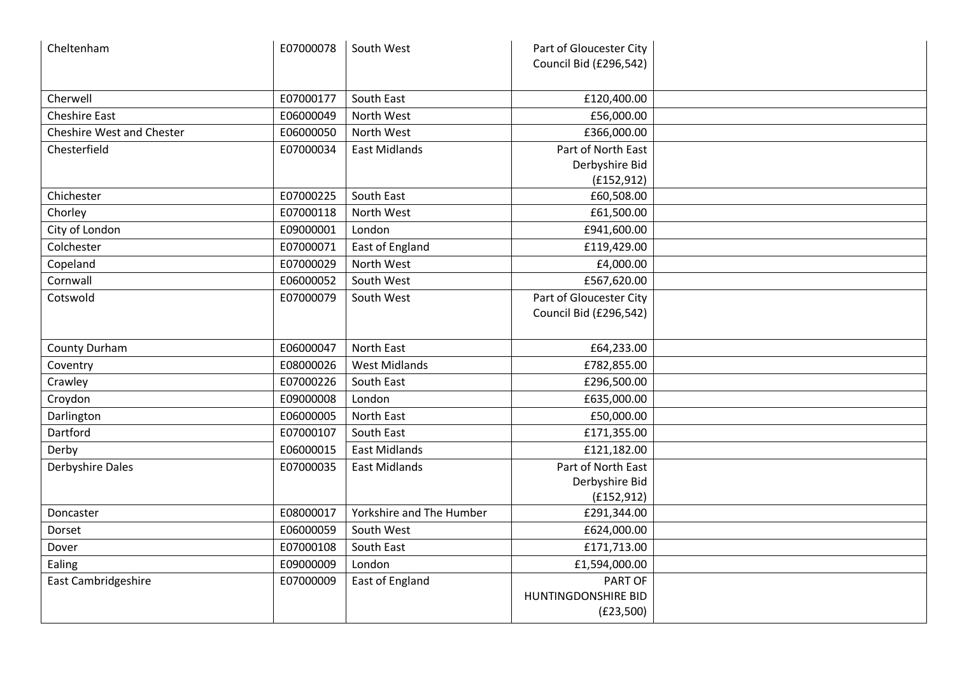| Cheltenham                       | E07000078 | South West               | Part of Gloucester City<br>Council Bid (£296,542)   |  |
|----------------------------------|-----------|--------------------------|-----------------------------------------------------|--|
| Cherwell                         | E07000177 | South East               | £120,400.00                                         |  |
| <b>Cheshire East</b>             | E06000049 | North West               | £56,000.00                                          |  |
| <b>Cheshire West and Chester</b> | E06000050 | North West               | £366,000.00                                         |  |
| Chesterfield                     | E07000034 | <b>East Midlands</b>     | Part of North East<br>Derbyshire Bid<br>(E152, 912) |  |
| Chichester                       | E07000225 | South East               | £60,508.00                                          |  |
| Chorley                          | E07000118 | North West               | £61,500.00                                          |  |
| City of London                   | E09000001 | London                   | £941,600.00                                         |  |
| Colchester                       | E07000071 | East of England          | £119,429.00                                         |  |
| Copeland                         | E07000029 | North West               | £4,000.00                                           |  |
| Cornwall                         | E06000052 | South West               | £567,620.00                                         |  |
| Cotswold                         | E07000079 | South West               | Part of Gloucester City<br>Council Bid (£296,542)   |  |
| County Durham                    | E06000047 | <b>North East</b>        | £64,233.00                                          |  |
| Coventry                         | E08000026 | <b>West Midlands</b>     | £782,855.00                                         |  |
| Crawley                          | E07000226 | South East               | £296,500.00                                         |  |
| Croydon                          | E09000008 | London                   | £635,000.00                                         |  |
| Darlington                       | E06000005 | North East               | £50,000.00                                          |  |
| Dartford                         | E07000107 | South East               | £171,355.00                                         |  |
| Derby                            | E06000015 | <b>East Midlands</b>     | £121,182.00                                         |  |
| <b>Derbyshire Dales</b>          | E07000035 | <b>East Midlands</b>     | Part of North East<br>Derbyshire Bid<br>(E152, 912) |  |
| Doncaster                        | E08000017 | Yorkshire and The Humber | £291,344.00                                         |  |
| Dorset                           | E06000059 | South West               | £624,000.00                                         |  |
| Dover                            | E07000108 | South East               | £171,713.00                                         |  |
| Ealing                           | E09000009 | London                   | £1,594,000.00                                       |  |
| East Cambridgeshire              | E07000009 | East of England          | PART OF<br>HUNTINGDONSHIRE BID<br>(E23,500)         |  |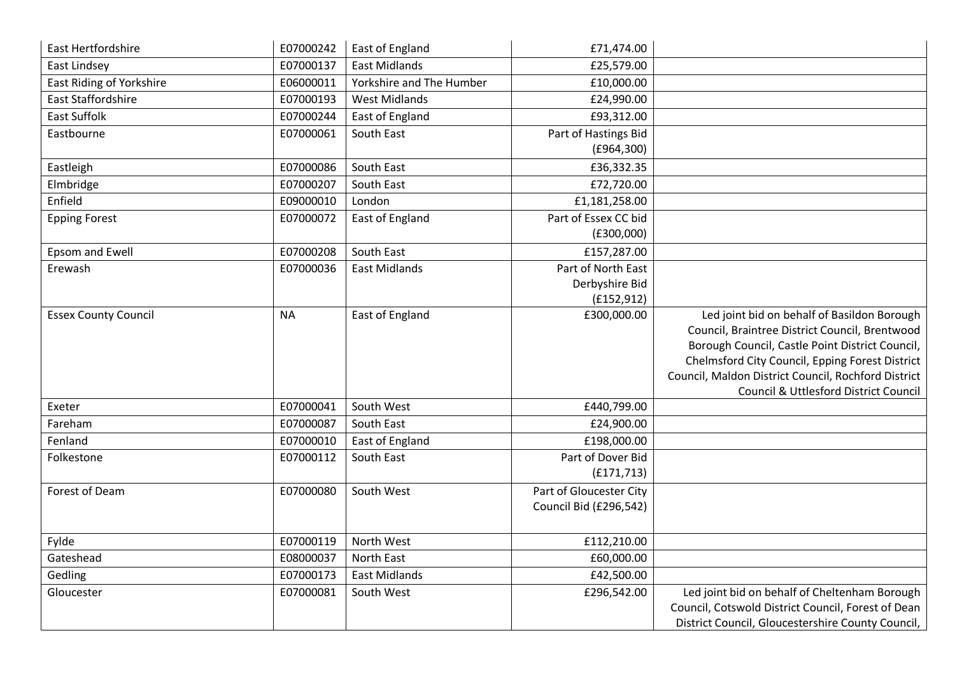| <b>East Hertfordshire</b>       | E07000242 | East of England          | £71,474.00              |                                                                                                   |
|---------------------------------|-----------|--------------------------|-------------------------|---------------------------------------------------------------------------------------------------|
| East Lindsey                    | E07000137 | <b>East Midlands</b>     | £25,579.00              |                                                                                                   |
| <b>East Riding of Yorkshire</b> | E06000011 | Yorkshire and The Humber | £10,000.00              |                                                                                                   |
| <b>East Staffordshire</b>       | E07000193 | <b>West Midlands</b>     | £24,990.00              |                                                                                                   |
| <b>East Suffolk</b>             | E07000244 | <b>East of England</b>   | £93,312.00              |                                                                                                   |
| Eastbourne                      | E07000061 | South East               | Part of Hastings Bid    |                                                                                                   |
|                                 |           |                          | (E964,300)              |                                                                                                   |
| Eastleigh                       | E07000086 | South East               | £36,332.35              |                                                                                                   |
| Elmbridge                       | E07000207 | South East               | £72,720.00              |                                                                                                   |
| Enfield                         | E09000010 | London                   | £1,181,258.00           |                                                                                                   |
| <b>Epping Forest</b>            | E07000072 | East of England          | Part of Essex CC bid    |                                                                                                   |
|                                 |           |                          | (E300,000)              |                                                                                                   |
| Epsom and Ewell                 | E07000208 | South East               | £157,287.00             |                                                                                                   |
| Erewash                         | E07000036 | <b>East Midlands</b>     | Part of North East      |                                                                                                   |
|                                 |           |                          | Derbyshire Bid          |                                                                                                   |
|                                 |           |                          | (f152, 912)             |                                                                                                   |
| <b>Essex County Council</b>     | <b>NA</b> | <b>East of England</b>   | £300,000.00             | Led joint bid on behalf of Basildon Borough                                                       |
|                                 |           |                          |                         | Council, Braintree District Council, Brentwood<br>Borough Council, Castle Point District Council, |
|                                 |           |                          |                         | Chelmsford City Council, Epping Forest District                                                   |
|                                 |           |                          |                         | Council, Maldon District Council, Rochford District                                               |
|                                 |           |                          |                         | Council & Uttlesford District Council                                                             |
| Exeter                          | E07000041 | South West               | £440,799.00             |                                                                                                   |
| Fareham                         | E07000087 | South East               | £24,900.00              |                                                                                                   |
| Fenland                         | E07000010 | East of England          | £198,000.00             |                                                                                                   |
| Folkestone                      | E07000112 | South East               | Part of Dover Bid       |                                                                                                   |
|                                 |           |                          | (E171, 713)             |                                                                                                   |
| Forest of Deam                  | E07000080 | South West               | Part of Gloucester City |                                                                                                   |
|                                 |           |                          | Council Bid (£296,542)  |                                                                                                   |
|                                 |           |                          |                         |                                                                                                   |
| Fylde                           | E07000119 | North West               | £112,210.00             |                                                                                                   |
| Gateshead                       | E08000037 | North East               | £60,000.00              |                                                                                                   |
| Gedling                         | E07000173 | <b>East Midlands</b>     | £42,500.00              |                                                                                                   |
| Gloucester                      | E07000081 | South West               | £296,542.00             | Led joint bid on behalf of Cheltenham Borough                                                     |
|                                 |           |                          |                         | Council, Cotswold District Council, Forest of Dean                                                |
|                                 |           |                          |                         | District Council, Gloucestershire County Council,                                                 |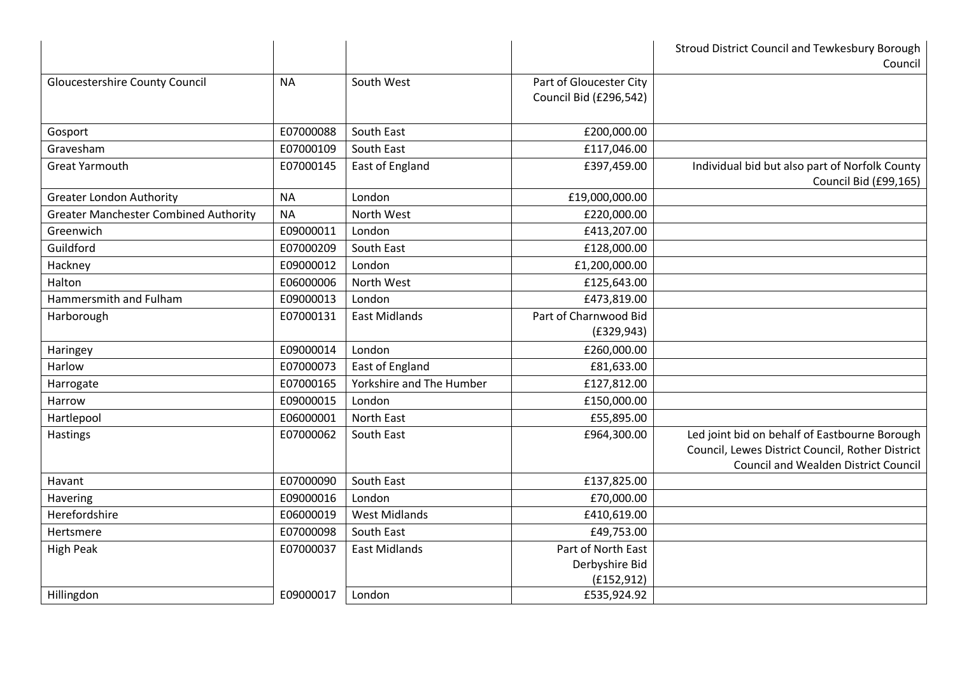|                                              |           |                          |                                                     | Stroud District Council and Tewkesbury Borough<br>Council                                                                                        |
|----------------------------------------------|-----------|--------------------------|-----------------------------------------------------|--------------------------------------------------------------------------------------------------------------------------------------------------|
| <b>Gloucestershire County Council</b>        | <b>NA</b> | South West               | Part of Gloucester City<br>Council Bid (£296,542)   |                                                                                                                                                  |
| Gosport                                      | E07000088 | South East               | £200,000.00                                         |                                                                                                                                                  |
| Gravesham                                    | E07000109 | South East               | £117,046.00                                         |                                                                                                                                                  |
| <b>Great Yarmouth</b>                        | E07000145 | East of England          | £397,459.00                                         | Individual bid but also part of Norfolk County<br>Council Bid (£99,165)                                                                          |
| <b>Greater London Authority</b>              | <b>NA</b> | London                   | £19,000,000.00                                      |                                                                                                                                                  |
| <b>Greater Manchester Combined Authority</b> | <b>NA</b> | North West               | £220,000.00                                         |                                                                                                                                                  |
| Greenwich                                    | E09000011 | London                   | £413,207.00                                         |                                                                                                                                                  |
| Guildford                                    | E07000209 | South East               | £128,000.00                                         |                                                                                                                                                  |
| Hackney                                      | E09000012 | London                   | £1,200,000.00                                       |                                                                                                                                                  |
| Halton                                       | E06000006 | North West               | £125,643.00                                         |                                                                                                                                                  |
| Hammersmith and Fulham                       | E09000013 | London                   | £473,819.00                                         |                                                                                                                                                  |
| Harborough                                   | E07000131 | <b>East Midlands</b>     | Part of Charnwood Bid                               |                                                                                                                                                  |
|                                              |           |                          | (E329, 943)                                         |                                                                                                                                                  |
| Haringey                                     | E09000014 | London                   | £260,000.00                                         |                                                                                                                                                  |
| Harlow                                       | E07000073 | East of England          | £81,633.00                                          |                                                                                                                                                  |
| Harrogate                                    | E07000165 | Yorkshire and The Humber | £127,812.00                                         |                                                                                                                                                  |
| Harrow                                       | E09000015 | London                   | £150,000.00                                         |                                                                                                                                                  |
| Hartlepool                                   | E06000001 | North East               | £55,895.00                                          |                                                                                                                                                  |
| Hastings                                     | E07000062 | South East               | £964,300.00                                         | Led joint bid on behalf of Eastbourne Borough<br>Council, Lewes District Council, Rother District<br><b>Council and Wealden District Council</b> |
| Havant                                       | E07000090 | South East               | £137,825.00                                         |                                                                                                                                                  |
| Havering                                     | E09000016 | London                   | £70,000.00                                          |                                                                                                                                                  |
| Herefordshire                                | E06000019 | <b>West Midlands</b>     | £410,619.00                                         |                                                                                                                                                  |
| Hertsmere                                    | E07000098 | South East               | £49,753.00                                          |                                                                                                                                                  |
| <b>High Peak</b>                             | E07000037 | <b>East Midlands</b>     | Part of North East<br>Derbyshire Bid<br>(f152, 912) |                                                                                                                                                  |
| Hillingdon                                   | E09000017 | London                   | £535,924.92                                         |                                                                                                                                                  |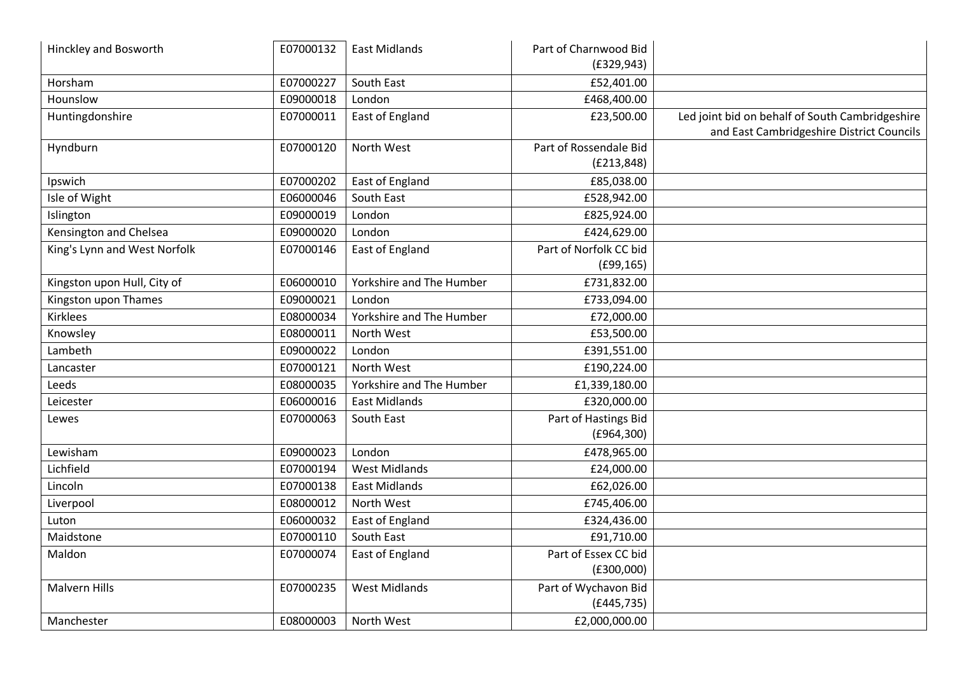| <b>Hinckley and Bosworth</b> | E07000132 | <b>East Midlands</b>     | Part of Charnwood Bid                |                                                                                              |
|------------------------------|-----------|--------------------------|--------------------------------------|----------------------------------------------------------------------------------------------|
|                              |           |                          | (E329, 943)                          |                                                                                              |
| Horsham                      | E07000227 | South East               | £52,401.00                           |                                                                                              |
| Hounslow                     | E09000018 | London                   | £468,400.00                          |                                                                                              |
| Huntingdonshire              | E07000011 | East of England          | £23,500.00                           | Led joint bid on behalf of South Cambridgeshire<br>and East Cambridgeshire District Councils |
| Hyndburn                     | E07000120 | North West               | Part of Rossendale Bid               |                                                                                              |
|                              |           |                          | (E213, 848)                          |                                                                                              |
| Ipswich                      | E07000202 | East of England          | £85,038.00                           |                                                                                              |
| Isle of Wight                | E06000046 | South East               | £528,942.00                          |                                                                                              |
| Islington                    | E09000019 | London                   | £825,924.00                          |                                                                                              |
| Kensington and Chelsea       | E09000020 | London                   | £424,629.00                          |                                                                                              |
| King's Lynn and West Norfolk | E07000146 | East of England          | Part of Norfolk CC bid<br>(E99, 165) |                                                                                              |
| Kingston upon Hull, City of  | E06000010 | Yorkshire and The Humber | £731,832.00                          |                                                                                              |
| Kingston upon Thames         | E09000021 | London                   | £733,094.00                          |                                                                                              |
| Kirklees                     | E08000034 | Yorkshire and The Humber | £72,000.00                           |                                                                                              |
|                              |           | North West               |                                      |                                                                                              |
| Knowsley                     | E08000011 |                          | £53,500.00                           |                                                                                              |
| Lambeth                      | E09000022 | London                   | £391,551.00                          |                                                                                              |
| Lancaster                    | E07000121 | North West               | £190,224.00                          |                                                                                              |
| Leeds                        | E08000035 | Yorkshire and The Humber | £1,339,180.00                        |                                                                                              |
| Leicester                    | E06000016 | <b>East Midlands</b>     | £320,000.00                          |                                                                                              |
| Lewes                        | E07000063 | South East               | Part of Hastings Bid                 |                                                                                              |
|                              |           |                          | (E964,300)                           |                                                                                              |
| Lewisham                     | E09000023 | London                   | £478,965.00                          |                                                                                              |
| Lichfield                    | E07000194 | <b>West Midlands</b>     | £24,000.00                           |                                                                                              |
| Lincoln                      | E07000138 | <b>East Midlands</b>     | £62,026.00                           |                                                                                              |
| Liverpool                    | E08000012 | North West               | £745,406.00                          |                                                                                              |
| Luton                        | E06000032 | East of England          | £324,436.00                          |                                                                                              |
| Maidstone                    | E07000110 | South East               | £91,710.00                           |                                                                                              |
| Maldon                       | E07000074 | East of England          | Part of Essex CC bid                 |                                                                                              |
|                              |           |                          | (E300,000)                           |                                                                                              |
| <b>Malvern Hills</b>         | E07000235 | <b>West Midlands</b>     | Part of Wychavon Bid                 |                                                                                              |
|                              |           |                          | (E445, 735)                          |                                                                                              |
| Manchester                   | E08000003 | North West               | £2,000,000.00                        |                                                                                              |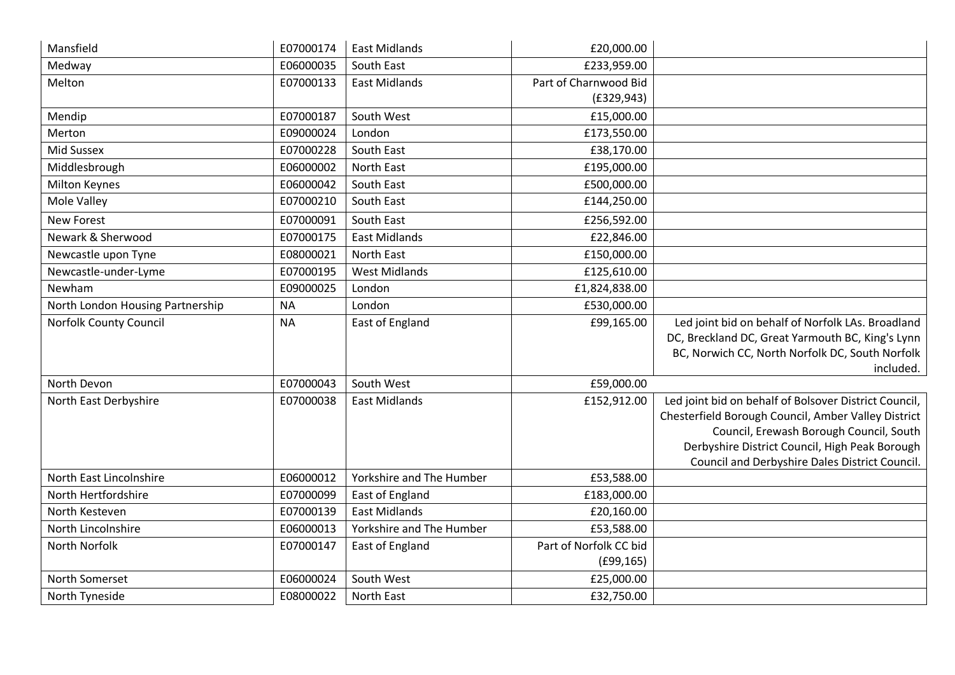| Mansfield                        | E07000174 | <b>East Midlands</b>     | £20,000.00             |                                                                                                              |
|----------------------------------|-----------|--------------------------|------------------------|--------------------------------------------------------------------------------------------------------------|
| Medway                           | E06000035 | South East               | £233,959.00            |                                                                                                              |
| Melton                           | E07000133 | <b>East Midlands</b>     | Part of Charnwood Bid  |                                                                                                              |
|                                  |           |                          | (E329, 943)            |                                                                                                              |
| Mendip                           | E07000187 | South West               | £15,000.00             |                                                                                                              |
| Merton                           | E09000024 | London                   | £173,550.00            |                                                                                                              |
| <b>Mid Sussex</b>                | E07000228 | South East               | £38,170.00             |                                                                                                              |
| Middlesbrough                    | E06000002 | <b>North East</b>        | £195,000.00            |                                                                                                              |
| <b>Milton Keynes</b>             | E06000042 | South East               | £500,000.00            |                                                                                                              |
| Mole Valley                      | E07000210 | South East               | £144,250.00            |                                                                                                              |
| <b>New Forest</b>                | E07000091 | South East               | £256,592.00            |                                                                                                              |
| Newark & Sherwood                | E07000175 | <b>East Midlands</b>     | £22,846.00             |                                                                                                              |
| Newcastle upon Tyne              | E08000021 | North East               | £150,000.00            |                                                                                                              |
| Newcastle-under-Lyme             | E07000195 | <b>West Midlands</b>     | £125,610.00            |                                                                                                              |
| Newham                           | E09000025 | London                   | £1,824,838.00          |                                                                                                              |
| North London Housing Partnership | <b>NA</b> | London                   | £530,000.00            |                                                                                                              |
| <b>Norfolk County Council</b>    | <b>NA</b> | <b>East of England</b>   | £99,165.00             | Led joint bid on behalf of Norfolk LAs. Broadland                                                            |
|                                  |           |                          |                        | DC, Breckland DC, Great Yarmouth BC, King's Lynn                                                             |
|                                  |           |                          |                        | BC, Norwich CC, North Norfolk DC, South Norfolk                                                              |
| North Devon                      |           | South West               |                        | included.                                                                                                    |
|                                  | E07000043 |                          | £59,000.00             |                                                                                                              |
| North East Derbyshire            | E07000038 | <b>East Midlands</b>     | £152,912.00            | Led joint bid on behalf of Bolsover District Council,<br>Chesterfield Borough Council, Amber Valley District |
|                                  |           |                          |                        | Council, Erewash Borough Council, South                                                                      |
|                                  |           |                          |                        | Derbyshire District Council, High Peak Borough                                                               |
|                                  |           |                          |                        | Council and Derbyshire Dales District Council.                                                               |
| North East Lincolnshire          | E06000012 | Yorkshire and The Humber | £53,588.00             |                                                                                                              |
| North Hertfordshire              | E07000099 | East of England          | £183,000.00            |                                                                                                              |
| North Kesteven                   | E07000139 | <b>East Midlands</b>     | £20,160.00             |                                                                                                              |
| North Lincolnshire               | E06000013 | Yorkshire and The Humber | £53,588.00             |                                                                                                              |
| North Norfolk                    | E07000147 | East of England          | Part of Norfolk CC bid |                                                                                                              |
|                                  |           |                          | (E99, 165)             |                                                                                                              |
| North Somerset                   | E06000024 | South West               | £25,000.00             |                                                                                                              |
| North Tyneside                   | E08000022 | North East               | £32,750.00             |                                                                                                              |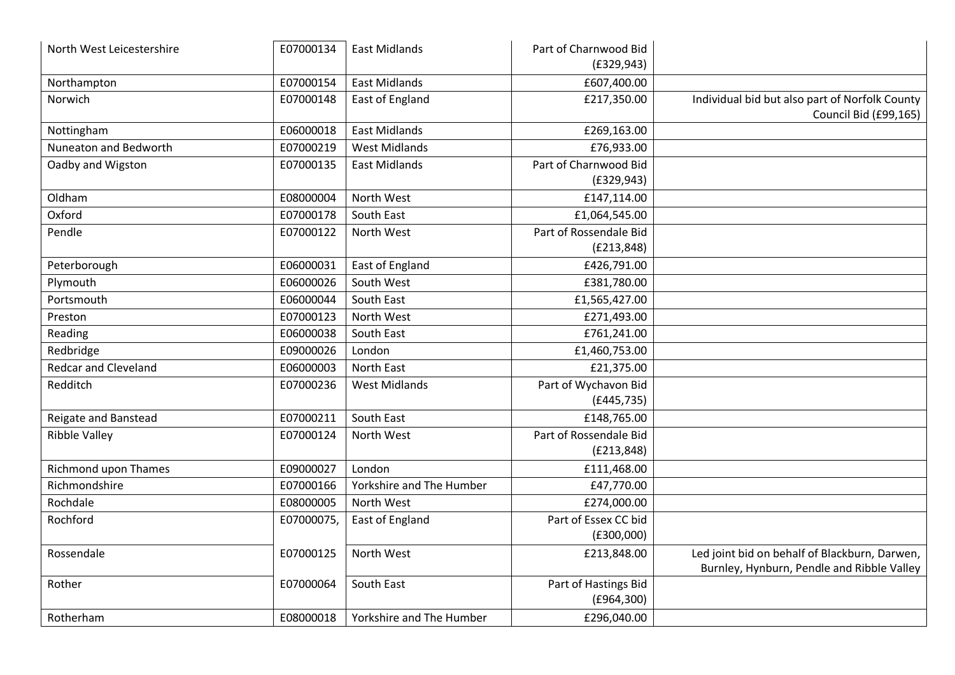| North West Leicestershire   | E07000134  | <b>East Midlands</b>     | Part of Charnwood Bid<br>(E329, 943)  |                                                                                             |
|-----------------------------|------------|--------------------------|---------------------------------------|---------------------------------------------------------------------------------------------|
| Northampton                 | E07000154  | <b>East Midlands</b>     | £607,400.00                           |                                                                                             |
| Norwich                     | E07000148  | <b>East of England</b>   | £217,350.00                           | Individual bid but also part of Norfolk County<br>Council Bid (£99,165)                     |
| Nottingham                  | E06000018  | <b>East Midlands</b>     | £269,163.00                           |                                                                                             |
| Nuneaton and Bedworth       | E07000219  | <b>West Midlands</b>     | £76,933.00                            |                                                                                             |
| Oadby and Wigston           | E07000135  | <b>East Midlands</b>     | Part of Charnwood Bid<br>(E329, 943)  |                                                                                             |
| Oldham                      | E08000004  | North West               | £147,114.00                           |                                                                                             |
| Oxford                      | E07000178  | South East               | £1,064,545.00                         |                                                                                             |
| Pendle                      | E07000122  | North West               | Part of Rossendale Bid                |                                                                                             |
|                             |            |                          | (E213, 848)                           |                                                                                             |
| Peterborough                | E06000031  | East of England          | £426,791.00                           |                                                                                             |
| Plymouth                    | E06000026  | South West               | £381,780.00                           |                                                                                             |
| Portsmouth                  | E06000044  | South East               | £1,565,427.00                         |                                                                                             |
| Preston                     | E07000123  | North West               | £271,493.00                           |                                                                                             |
| Reading                     | E06000038  | South East               | £761,241.00                           |                                                                                             |
| Redbridge                   | E09000026  | London                   | £1,460,753.00                         |                                                                                             |
| <b>Redcar and Cleveland</b> | E06000003  | <b>North East</b>        | £21,375.00                            |                                                                                             |
| Redditch                    | E07000236  | <b>West Midlands</b>     | Part of Wychavon Bid<br>(E445, 735)   |                                                                                             |
| Reigate and Banstead        | E07000211  | South East               | £148,765.00                           |                                                                                             |
| <b>Ribble Valley</b>        | E07000124  | North West               | Part of Rossendale Bid<br>(E213, 848) |                                                                                             |
| Richmond upon Thames        | E09000027  | London                   | £111,468.00                           |                                                                                             |
| Richmondshire               | E07000166  | Yorkshire and The Humber | £47,770.00                            |                                                                                             |
| Rochdale                    | E08000005  | North West               | £274,000.00                           |                                                                                             |
| Rochford                    | E07000075, | East of England          | Part of Essex CC bid<br>(E300,000)    |                                                                                             |
| Rossendale                  | E07000125  | North West               | £213,848.00                           | Led joint bid on behalf of Blackburn, Darwen,<br>Burnley, Hynburn, Pendle and Ribble Valley |
| Rother                      | E07000064  | South East               | Part of Hastings Bid<br>(E964,300)    |                                                                                             |
| Rotherham                   | E08000018  | Yorkshire and The Humber | £296,040.00                           |                                                                                             |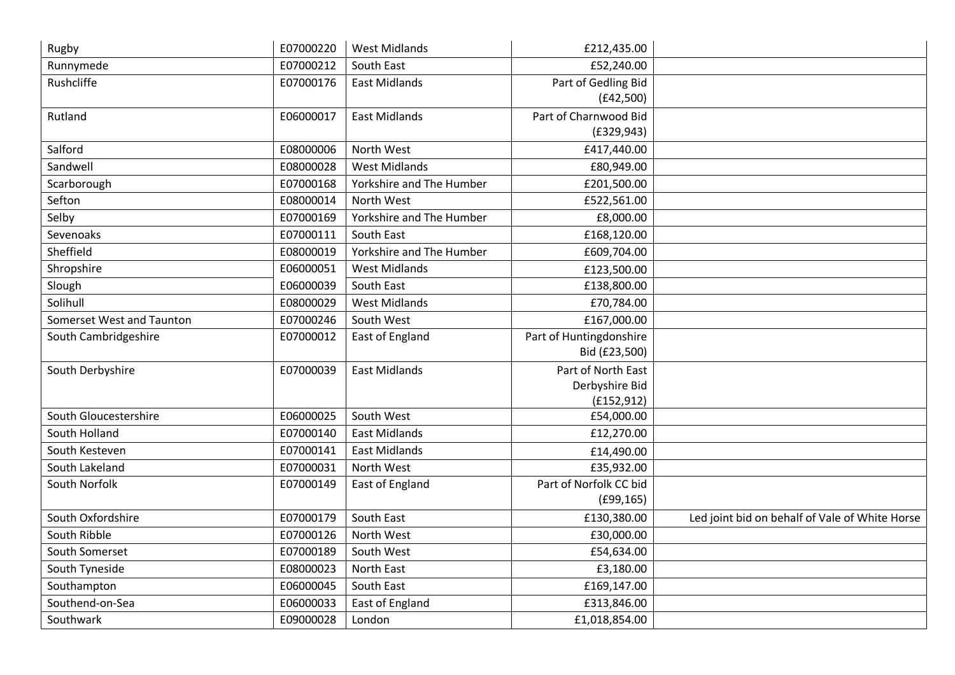| Rugby                     | E07000220 | <b>West Midlands</b>     | £212,435.00             |                                                |
|---------------------------|-----------|--------------------------|-------------------------|------------------------------------------------|
| Runnymede                 | E07000212 | South East               | £52,240.00              |                                                |
| Rushcliffe                | E07000176 | <b>East Midlands</b>     | Part of Gedling Bid     |                                                |
|                           |           |                          | (E42,500)               |                                                |
| Rutland                   | E06000017 | <b>East Midlands</b>     | Part of Charnwood Bid   |                                                |
|                           |           |                          | (E329, 943)             |                                                |
| Salford                   | E08000006 | North West               | £417,440.00             |                                                |
| Sandwell                  | E08000028 | <b>West Midlands</b>     | £80,949.00              |                                                |
| Scarborough               | E07000168 | Yorkshire and The Humber | £201,500.00             |                                                |
| Sefton                    | E08000014 | North West               | £522,561.00             |                                                |
| Selby                     | E07000169 | Yorkshire and The Humber | £8,000.00               |                                                |
| Sevenoaks                 | E07000111 | South East               | £168,120.00             |                                                |
| Sheffield                 | E08000019 | Yorkshire and The Humber | £609,704.00             |                                                |
| Shropshire                | E06000051 | <b>West Midlands</b>     | £123,500.00             |                                                |
| Slough                    | E06000039 | South East               | £138,800.00             |                                                |
| Solihull                  | E08000029 | <b>West Midlands</b>     | £70,784.00              |                                                |
| Somerset West and Taunton | E07000246 | South West               | £167,000.00             |                                                |
| South Cambridgeshire      | E07000012 | <b>East of England</b>   | Part of Huntingdonshire |                                                |
|                           |           |                          | Bid (£23,500)           |                                                |
| South Derbyshire          | E07000039 | <b>East Midlands</b>     | Part of North East      |                                                |
|                           |           |                          | Derbyshire Bid          |                                                |
|                           |           |                          | (E152, 912)             |                                                |
| South Gloucestershire     | E06000025 | South West               | £54,000.00              |                                                |
| South Holland             | E07000140 | <b>East Midlands</b>     | £12,270.00              |                                                |
| South Kesteven            | E07000141 | <b>East Midlands</b>     | £14,490.00              |                                                |
| South Lakeland            | E07000031 | North West               | £35,932.00              |                                                |
| South Norfolk             | E07000149 | East of England          | Part of Norfolk CC bid  |                                                |
|                           |           |                          | (E99, 165)              |                                                |
| South Oxfordshire         | E07000179 | South East               | £130,380.00             | Led joint bid on behalf of Vale of White Horse |
| South Ribble              | E07000126 | North West               | £30,000.00              |                                                |
| South Somerset            | E07000189 | South West               | £54,634.00              |                                                |
| South Tyneside            | E08000023 | North East               | £3,180.00               |                                                |
| Southampton               | E06000045 | South East               | £169,147.00             |                                                |
| Southend-on-Sea           | E06000033 | East of England          | £313,846.00             |                                                |
| Southwark                 | E09000028 | London                   | £1,018,854.00           |                                                |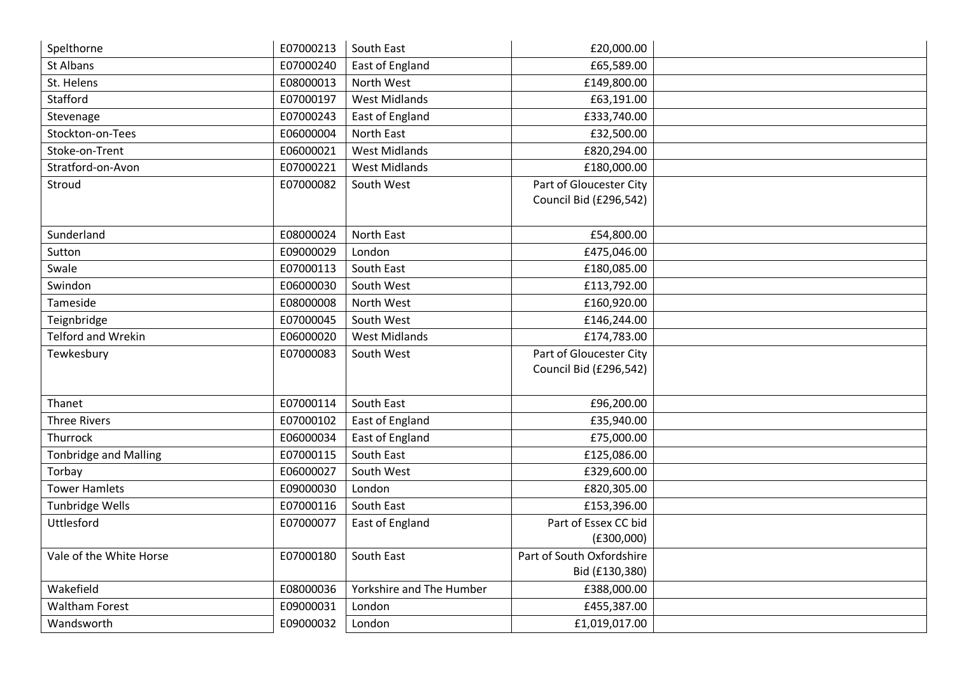| Spelthorne                   | E07000213 | South East               | £20,000.00                |  |
|------------------------------|-----------|--------------------------|---------------------------|--|
| St Albans                    | E07000240 | East of England          | £65,589.00                |  |
| St. Helens                   | E08000013 | North West               | £149,800.00               |  |
| Stafford                     | E07000197 | <b>West Midlands</b>     | £63,191.00                |  |
| Stevenage                    | E07000243 | East of England          | £333,740.00               |  |
| Stockton-on-Tees             | E06000004 | North East               | £32,500.00                |  |
| Stoke-on-Trent               | E06000021 | <b>West Midlands</b>     | £820,294.00               |  |
| Stratford-on-Avon            | E07000221 | <b>West Midlands</b>     | £180,000.00               |  |
| Stroud                       | E07000082 | South West               | Part of Gloucester City   |  |
|                              |           |                          | Council Bid (£296,542)    |  |
|                              |           |                          |                           |  |
| Sunderland                   | E08000024 | North East               | £54,800.00                |  |
| Sutton                       | E09000029 | London                   | £475,046.00               |  |
| Swale                        | E07000113 | South East               | £180,085.00               |  |
| Swindon                      | E06000030 | South West               | £113,792.00               |  |
| Tameside                     | E08000008 | North West               | £160,920.00               |  |
| Teignbridge                  | E07000045 | South West               | £146,244.00               |  |
| <b>Telford and Wrekin</b>    | E06000020 | <b>West Midlands</b>     | £174,783.00               |  |
| Tewkesbury                   | E07000083 | South West               | Part of Gloucester City   |  |
|                              |           |                          | Council Bid (£296,542)    |  |
|                              |           |                          |                           |  |
| Thanet                       | E07000114 | South East               | £96,200.00                |  |
| <b>Three Rivers</b>          | E07000102 | East of England          | £35,940.00                |  |
| Thurrock                     | E06000034 | East of England          | £75,000.00                |  |
| <b>Tonbridge and Malling</b> | E07000115 | South East               | £125,086.00               |  |
| Torbay                       | E06000027 | South West               | £329,600.00               |  |
| <b>Tower Hamlets</b>         | E09000030 | London                   | £820,305.00               |  |
| Tunbridge Wells              | E07000116 | South East               | £153,396.00               |  |
| Uttlesford                   | E07000077 | East of England          | Part of Essex CC bid      |  |
|                              |           |                          | (E300,000)                |  |
| Vale of the White Horse      | E07000180 | South East               | Part of South Oxfordshire |  |
|                              |           |                          | Bid (£130,380)            |  |
| Wakefield                    | E08000036 | Yorkshire and The Humber | £388,000.00               |  |
| <b>Waltham Forest</b>        | E09000031 | London                   | £455,387.00               |  |
| Wandsworth                   | E09000032 | London                   | £1,019,017.00             |  |